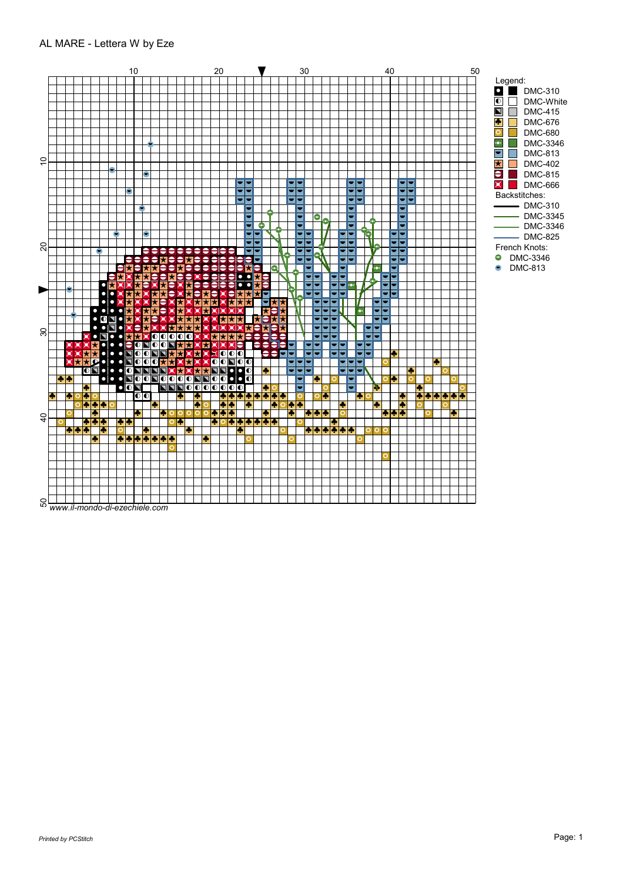## AL MARE - Lettera W by Eze